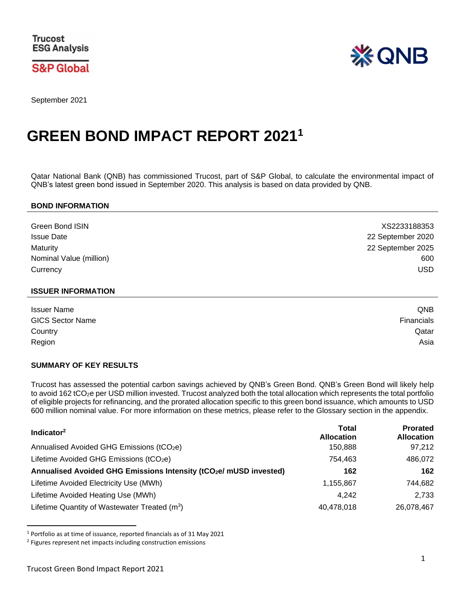**S&P Global** 



September 2021

# **GREEN BOND IMPACT REPORT 2021 1**

Qatar National Bank (QNB) has commissioned Trucost, part of S&P Global, to calculate the environmental impact of QNB's latest green bond issued in September 2020. This analysis is based on data provided by QNB.

#### **BOND INFORMATION**

| <b>Green Bond ISIN</b>  | XS2233188353      |
|-------------------------|-------------------|
| <b>Issue Date</b>       | 22 September 2020 |
| Maturity                | 22 September 2025 |
| Nominal Value (million) | 600               |
| Currency                | USD               |

#### **ISSUER INFORMATION**

| <b>Issuer Name</b>      | QNB               |
|-------------------------|-------------------|
| <b>GICS Sector Name</b> | <b>Financials</b> |
| Country                 | Qatar             |
| Region                  | Asia              |

#### **SUMMARY OF KEY RESULTS**

Trucost has assessed the potential carbon savings achieved by QNB's Green Bond. QNB's Green Bond will likely help to avoid 162 tCO<sub>2</sub>e per USD million invested. Trucost analyzed both the total allocation which represents the total portfolio of eligible projects for refinancing, and the prorated allocation specific to this green bond issuance, which amounts to USD 600 million nominal value. For more information on these metrics, please refer to the Glossary section in the appendix.

| Indicator <sup>2</sup>                                                         | <b>Total</b><br><b>Allocation</b> | <b>Prorated</b><br><b>Allocation</b> |
|--------------------------------------------------------------------------------|-----------------------------------|--------------------------------------|
| Annualised Avoided GHG Emissions (tCO <sub>2</sub> e)                          | 150.888                           | 97,212                               |
| Lifetime Avoided GHG Emissions (tCO <sub>2</sub> e)                            | 754.463                           | 486,072                              |
| Annualised Avoided GHG Emissions Intensity (tCO <sub>2</sub> e/ mUSD invested) | 162                               | 162                                  |
| Lifetime Avoided Electricity Use (MWh)                                         | 1,155,867                         | 744,682                              |
| Lifetime Avoided Heating Use (MWh)                                             | 4.242                             | 2.733                                |
| Lifetime Quantity of Wastewater Treated $(m^3)$                                | 40,478,018                        | 26,078,467                           |

<sup>1</sup> Portfolio as at time of issuance, reported financials as of 31 May 2021

 $\ddot{\phantom{a}}$ 

<sup>2</sup> Figures represent net impacts including construction emissions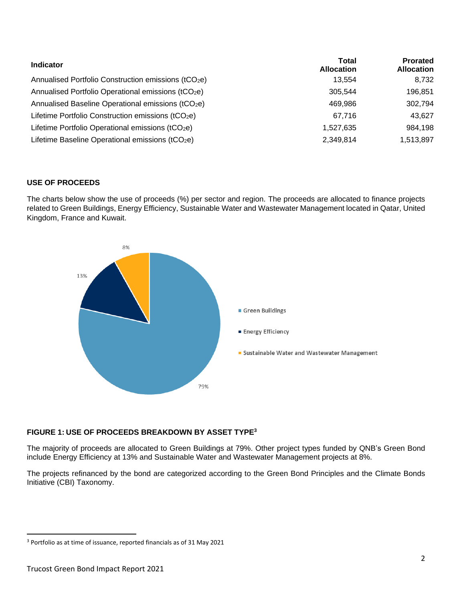| <b>Indicator</b>                                                | <b>Total</b><br><b>Allocation</b> | <b>Prorated</b><br><b>Allocation</b> |
|-----------------------------------------------------------------|-----------------------------------|--------------------------------------|
| Annualised Portfolio Construction emissions (tCO2e)             | 13.554                            | 8,732                                |
| Annualised Portfolio Operational emissions (tCO <sub>2</sub> e) | 305,544                           | 196.851                              |
| Annualised Baseline Operational emissions (tCO <sub>2</sub> e)  | 469,986                           | 302,794                              |
| Lifetime Portfolio Construction emissions (tCO2e)               | 67.716                            | 43,627                               |
| Lifetime Portfolio Operational emissions (tCO2e)                | 1,527,635                         | 984,198                              |
| Lifetime Baseline Operational emissions (tCO2e)                 | 2,349,814                         | 1,513,897                            |

## **USE OF PROCEEDS**

The charts below show the use of proceeds (%) per sector and region. The proceeds are allocated to finance projects related to Green Buildings, Energy Efficiency, Sustainable Water and Wastewater Management located in Qatar, United Kingdom, France and Kuwait.



# **FIGURE 1: USE OF PROCEEDS BREAKDOWN BY ASSET TYPE<sup>3</sup>**

The majority of proceeds are allocated to Green Buildings at 79%. Other project types funded by QNB's Green Bond include Energy Efficiency at 13% and Sustainable Water and Wastewater Management projects at 8%.

The projects refinanced by the bond are categorized according to the Green Bond Principles and the Climate Bonds Initiative (CBI) Taxonomy.

 $\overline{a}$ 

<sup>3</sup> Portfolio as at time of issuance, reported financials as of 31 May 2021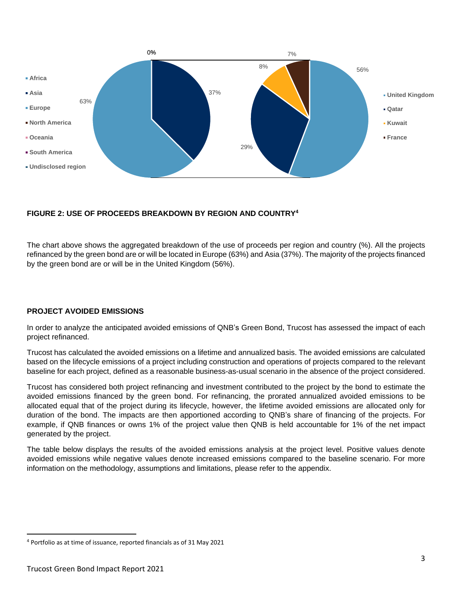

# **FIGURE 2: USE OF PROCEEDS BREAKDOWN BY REGION AND COUNTRY<sup>4</sup>**

The chart above shows the aggregated breakdown of the use of proceeds per region and country (%). All the projects refinanced by the green bond are or will be located in Europe (63%) and Asia (37%). The majority of the projects financed by the green bond are or will be in the United Kingdom (56%).

## **PROJECT AVOIDED EMISSIONS**

In order to analyze the anticipated avoided emissions of QNB's Green Bond, Trucost has assessed the impact of each project refinanced.

Trucost has calculated the avoided emissions on a lifetime and annualized basis. The avoided emissions are calculated based on the lifecycle emissions of a project including construction and operations of projects compared to the relevant baseline for each project, defined as a reasonable business-as-usual scenario in the absence of the project considered.

Trucost has considered both project refinancing and investment contributed to the project by the bond to estimate the avoided emissions financed by the green bond. For refinancing, the prorated annualized avoided emissions to be allocated equal that of the project during its lifecycle, however, the lifetime avoided emissions are allocated only for duration of the bond. The impacts are then apportioned according to QNB's share of financing of the projects. For example, if QNB finances or owns 1% of the project value then QNB is held accountable for 1% of the net impact generated by the project.

The table below displays the results of the avoided emissions analysis at the project level. Positive values denote avoided emissions while negative values denote increased emissions compared to the baseline scenario. For more information on the methodology, assumptions and limitations, please refer to the appendix.

 $\overline{a}$ 

<sup>4</sup> Portfolio as at time of issuance, reported financials as of 31 May 2021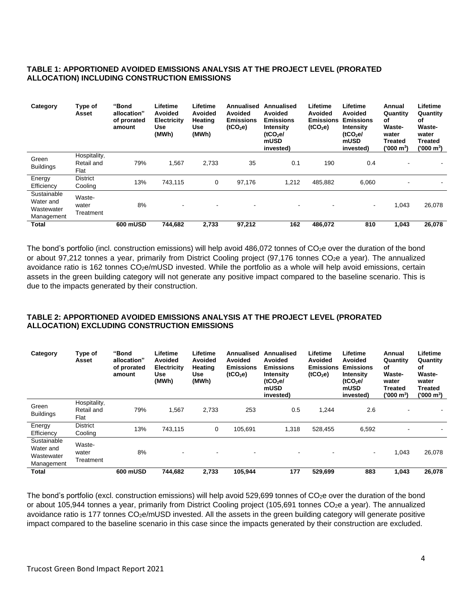# **TABLE 1: APPORTIONED AVOIDED EMISSIONS ANALYSIS AT THE PROJECT LEVEL (PRORATED ALLOCATION) INCLUDING CONSTRUCTION EMISSIONS**

| Category                                             | Type of<br>Asset                   | "Bond<br>allocation"<br>of prorated<br>amount | Lifetime<br>Avoided<br><b>Electricity</b><br>Use<br>(MWh) | Lifetime<br>Avoided<br>Heating<br>Use<br>(MWh) | Annualised<br>Avoided<br><b>Emissions</b><br>(tCO <sub>2</sub> e) | Annualised<br>Avoided<br><b>Emissions</b><br>Intensity<br>(tCO <sub>2</sub> el)<br>mUSD<br>invested) | Lifetime<br>Avoided<br>Emissions<br>(tCO <sub>2</sub> e) | Lifetime<br>Avoided<br><b>Emissions</b><br><b>Intensity</b><br>(tCO <sub>2</sub> el)<br>mUSD<br>invested) | Annual<br>Quantity<br>оf<br>Waste-<br>water<br>Treated<br>('000 m <sup>3</sup> ) | Lifetime<br>Quantity<br>οf<br>Waste-<br>water<br><b>Treated</b><br>('000 m <sup>3</sup> ) |
|------------------------------------------------------|------------------------------------|-----------------------------------------------|-----------------------------------------------------------|------------------------------------------------|-------------------------------------------------------------------|------------------------------------------------------------------------------------------------------|----------------------------------------------------------|-----------------------------------------------------------------------------------------------------------|----------------------------------------------------------------------------------|-------------------------------------------------------------------------------------------|
| Green<br><b>Buildings</b>                            | Hospitality,<br>Retail and<br>Flat | 79%                                           | 1,567                                                     | 2,733                                          | 35                                                                | 0.1                                                                                                  | 190                                                      | 0.4                                                                                                       | -                                                                                |                                                                                           |
| Energy<br>Efficiency                                 | <b>District</b><br>Cooling         | 13%                                           | 743,115                                                   | 0                                              | 97,176                                                            | 1,212                                                                                                | 485.882                                                  | 6,060                                                                                                     | -                                                                                |                                                                                           |
| Sustainable<br>Water and<br>Wastewater<br>Management | Waste-<br>water<br>Treatment       | 8%                                            |                                                           |                                                |                                                                   | $\overline{\phantom{a}}$                                                                             |                                                          | ۰.                                                                                                        | 1,043                                                                            | 26,078                                                                                    |
| <b>Total</b>                                         |                                    | 600 mUSD                                      | 744.682                                                   | 2.733                                          | 97,212                                                            | 162                                                                                                  | 486.072                                                  | 810                                                                                                       | 1.043                                                                            | 26,078                                                                                    |

The bond's portfolio (incl. construction emissions) will help avoid 486,072 tonnes of  $CO<sub>2</sub>e$  over the duration of the bond or about 97,212 tonnes a year, primarily from District Cooling project (97,176 tonnes CO2e a year). The annualized avoidance ratio is 162 tonnes CO<sub>2</sub>e/mUSD invested. While the portfolio as a whole will help avoid emissions, certain assets in the green building category will not generate any positive impact compared to the baseline scenario. This is due to the impacts generated by their construction.

## **TABLE 2: APPORTIONED AVOIDED EMISSIONS ANALYSIS AT THE PROJECT LEVEL (PRORATED ALLOCATION) EXCLUDING CONSTRUCTION EMISSIONS**

| Category                                             | Type of<br>Asset                   | "Bond<br>allocation"<br>of prorated<br>amount | Lifetime<br>Avoided<br><b>Electricity</b><br>Use<br>(MWh) | Lifetime<br>Avoided<br>Heating<br>Use<br>(MWh) | <b>Annualised</b><br><b>Avoided</b><br><b>Emissions</b><br>(tCO <sub>2</sub> e) | Annualised<br>Avoided<br><b>Emissions</b><br>Intensity<br>(tCO <sub>2</sub> el)<br>mUSD<br>invested) | Lifetime<br>Avoided<br>Emissions<br>(tCO <sub>2</sub> e) | Lifetime<br>Avoided<br><b>Emissions</b><br>Intensity<br>(tCO <sub>2</sub> el)<br>mUSD<br>invested) | Annual<br>Quantity<br>οf<br><b>Waste-</b><br>water<br>Treated<br>('000 m <sup>3</sup> ) | Lifetime<br>Quantity<br>οf<br><b>Waste-</b><br>water<br>Treated<br>('000 mˀ) |
|------------------------------------------------------|------------------------------------|-----------------------------------------------|-----------------------------------------------------------|------------------------------------------------|---------------------------------------------------------------------------------|------------------------------------------------------------------------------------------------------|----------------------------------------------------------|----------------------------------------------------------------------------------------------------|-----------------------------------------------------------------------------------------|------------------------------------------------------------------------------|
| Green<br><b>Buildings</b>                            | Hospitality,<br>Retail and<br>Flat | 79%                                           | 1,567                                                     | 2,733                                          | 253                                                                             | 0.5                                                                                                  | 1,244                                                    | 2.6                                                                                                |                                                                                         |                                                                              |
| Energy<br>Efficiency                                 | <b>District</b><br>Cooling         | 13%                                           | 743.115                                                   | 0                                              | 105.691                                                                         | 1,318                                                                                                | 528,455                                                  | 6,592                                                                                              |                                                                                         |                                                                              |
| Sustainable<br>Water and<br>Wastewater<br>Management | Waste-<br>water<br>Treatment       | 8%                                            |                                                           |                                                | $\overline{\phantom{a}}$                                                        | $\overline{\phantom{a}}$                                                                             |                                                          | $\sim$                                                                                             | 1,043                                                                                   | 26,078                                                                       |
| <b>Total</b>                                         |                                    | 600 mUSD                                      | 744.682                                                   | 2,733                                          | 105,944                                                                         | 177                                                                                                  | 529,699                                                  | 883                                                                                                | 1,043                                                                                   | 26,078                                                                       |

The bond's portfolio (excl. construction emissions) will help avoid 529,699 tonnes of  $CO<sub>2</sub>e$  over the duration of the bond or about 105,944 tonnes a year, primarily from District Cooling project (105,691 tonnes CO<sub>2</sub>e a year). The annualized avoidance ratio is 177 tonnes CO<sub>2</sub>e/mUSD invested. All the assets in the green building category will generate positive impact compared to the baseline scenario in this case since the impacts generated by their construction are excluded.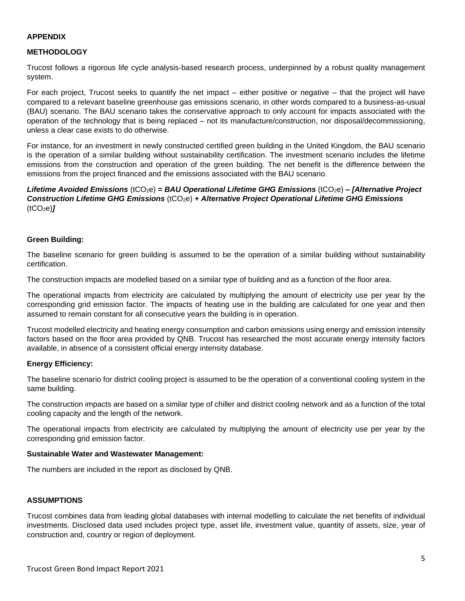#### **APPENDIX**

#### **METHODOLOGY**

Trucost follows a rigorous life cycle analysis-based research process, underpinned by a robust quality management system.

For each project, Trucost seeks to quantify the net impact – either positive or negative – that the project will have compared to a relevant baseline greenhouse gas emissions scenario, in other words compared to a business-as-usual (BAU) scenario. The BAU scenario takes the conservative approach to only account for impacts associated with the operation of the technology that is being replaced – not its manufacture/construction, nor disposal/decommissioning, unless a clear case exists to do otherwise.

For instance, for an investment in newly constructed certified green building in the United Kingdom, the BAU scenario is the operation of a similar building without sustainability certification. The investment scenario includes the lifetime emissions from the construction and operation of the green building. The net benefit is the difference between the emissions from the project financed and the emissions associated with the BAU scenario.

*Lifetime Avoided Emissions* (tCO2e) *= BAU Operational Lifetime GHG Emissions* (tCO2e) *– [Alternative Project Construction Lifetime GHG Emissions* (tCO2e) *+ Alternative Project Operational Lifetime GHG Emissions*   $(tCO<sub>2</sub>e)$ 

#### **Green Building:**

The baseline scenario for green building is assumed to be the operation of a similar building without sustainability certification.

The construction impacts are modelled based on a similar type of building and as a function of the floor area.

The operational impacts from electricity are calculated by multiplying the amount of electricity use per year by the corresponding grid emission factor. The impacts of heating use in the building are calculated for one year and then assumed to remain constant for all consecutive years the building is in operation.

Trucost modelled electricity and heating energy consumption and carbon emissions using energy and emission intensity factors based on the floor area provided by QNB. Trucost has researched the most accurate energy intensity factors available, in absence of a consistent official energy intensity database.

#### **Energy Efficiency:**

The baseline scenario for district cooling project is assumed to be the operation of a conventional cooling system in the same building.

The construction impacts are based on a similar type of chiller and district cooling network and as a function of the total cooling capacity and the length of the network.

The operational impacts from electricity are calculated by multiplying the amount of electricity use per year by the corresponding grid emission factor.

#### **Sustainable Water and Wastewater Management:**

The numbers are included in the report as disclosed by QNB.

#### **ASSUMPTIONS**

Trucost combines data from leading global databases with internal modelling to calculate the net benefits of individual investments. Disclosed data used includes project type, asset life, investment value, quantity of assets, size, year of construction and, country or region of deployment.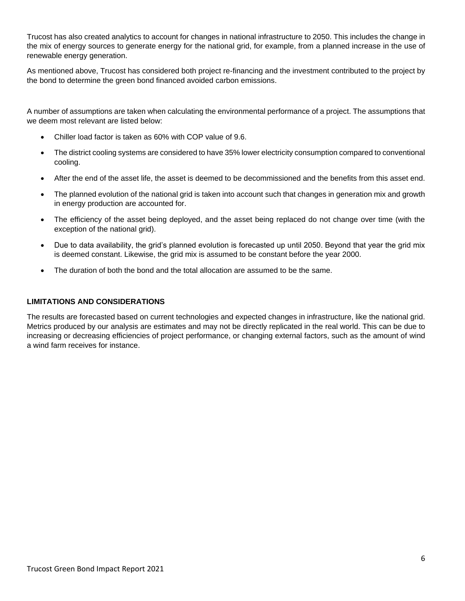Trucost has also created analytics to account for changes in national infrastructure to 2050. This includes the change in the mix of energy sources to generate energy for the national grid, for example, from a planned increase in the use of renewable energy generation.

As mentioned above, Trucost has considered both project re-financing and the investment contributed to the project by the bond to determine the green bond financed avoided carbon emissions.

A number of assumptions are taken when calculating the environmental performance of a project. The assumptions that we deem most relevant are listed below:

- Chiller load factor is taken as 60% with COP value of 9.6.
- The district cooling systems are considered to have 35% lower electricity consumption compared to conventional cooling.
- After the end of the asset life, the asset is deemed to be decommissioned and the benefits from this asset end.
- The planned evolution of the national grid is taken into account such that changes in generation mix and growth in energy production are accounted for.
- The efficiency of the asset being deployed, and the asset being replaced do not change over time (with the exception of the national grid).
- Due to data availability, the grid's planned evolution is forecasted up until 2050. Beyond that year the grid mix is deemed constant. Likewise, the grid mix is assumed to be constant before the year 2000.
- The duration of both the bond and the total allocation are assumed to be the same.

#### **LIMITATIONS AND CONSIDERATIONS**

The results are forecasted based on current technologies and expected changes in infrastructure, like the national grid. Metrics produced by our analysis are estimates and may not be directly replicated in the real world. This can be due to increasing or decreasing efficiencies of project performance, or changing external factors, such as the amount of wind a wind farm receives for instance.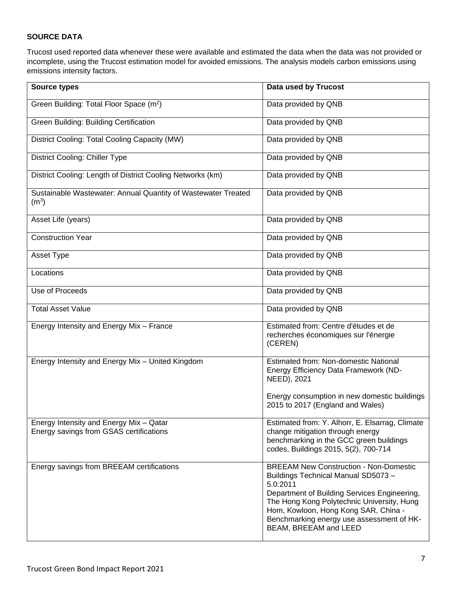# **SOURCE DATA**

Trucost used reported data whenever these were available and estimated the data when the data was not provided or incomplete, using the Trucost estimation model for avoided emissions. The analysis models carbon emissions using emissions intensity factors.

| <b>Source types</b>                                                                | Data used by Trucost                                                                                                                                                                                                                                                                                        |
|------------------------------------------------------------------------------------|-------------------------------------------------------------------------------------------------------------------------------------------------------------------------------------------------------------------------------------------------------------------------------------------------------------|
| Green Building: Total Floor Space (m <sup>2</sup> )                                | Data provided by QNB                                                                                                                                                                                                                                                                                        |
| Green Building: Building Certification                                             | Data provided by QNB                                                                                                                                                                                                                                                                                        |
| District Cooling: Total Cooling Capacity (MW)                                      | Data provided by QNB                                                                                                                                                                                                                                                                                        |
| <b>District Cooling: Chiller Type</b>                                              | Data provided by QNB                                                                                                                                                                                                                                                                                        |
| District Cooling: Length of District Cooling Networks (km)                         | Data provided by QNB                                                                                                                                                                                                                                                                                        |
| Sustainable Wastewater: Annual Quantity of Wastewater Treated<br>(m <sup>3</sup> ) | Data provided by QNB                                                                                                                                                                                                                                                                                        |
| Asset Life (years)                                                                 | Data provided by QNB                                                                                                                                                                                                                                                                                        |
| <b>Construction Year</b>                                                           | Data provided by QNB                                                                                                                                                                                                                                                                                        |
| Asset Type                                                                         | Data provided by QNB                                                                                                                                                                                                                                                                                        |
| Locations                                                                          | Data provided by QNB                                                                                                                                                                                                                                                                                        |
| Use of Proceeds                                                                    | Data provided by QNB                                                                                                                                                                                                                                                                                        |
| <b>Total Asset Value</b>                                                           | Data provided by QNB                                                                                                                                                                                                                                                                                        |
| Energy Intensity and Energy Mix - France                                           | Estimated from: Centre d'études et de<br>recherches économiques sur l'énergie<br>(CEREN)                                                                                                                                                                                                                    |
| Energy Intensity and Energy Mix - United Kingdom                                   | <b>Estimated from: Non-domestic National</b><br>Energy Efficiency Data Framework (ND-<br>NEED), 2021                                                                                                                                                                                                        |
|                                                                                    | Energy consumption in new domestic buildings<br>2015 to 2017 (England and Wales)                                                                                                                                                                                                                            |
| Energy Intensity and Energy Mix - Qatar<br>Energy savings from GSAS certifications | Estimated from: Y. Alhorr, E. Elsarrag, Climate<br>change mitigation through energy<br>benchmarking in the GCC green buildings<br>codes, Buildings 2015, 5(2), 700-714                                                                                                                                      |
| Energy savings from BREEAM certifications                                          | <b>BREEAM New Construction - Non-Domestic</b><br>Buildings Technical Manual SD5073-<br>5.0:2011<br>Department of Building Services Engineering,<br>The Hong Kong Polytechnic University, Hung<br>Hom, Kowloon, Hong Kong SAR, China -<br>Benchmarking energy use assessment of HK-<br>BEAM, BREEAM and LEED |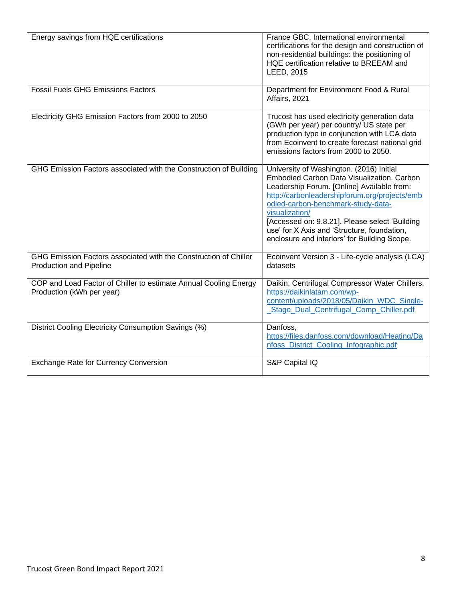| Energy savings from HQE certifications                                                        | France GBC, International environmental<br>certifications for the design and construction of<br>non-residential buildings: the positioning of<br>HQE certification relative to BREEAM and<br>LEED, 2015                                                                                                                                                                                        |
|-----------------------------------------------------------------------------------------------|------------------------------------------------------------------------------------------------------------------------------------------------------------------------------------------------------------------------------------------------------------------------------------------------------------------------------------------------------------------------------------------------|
| <b>Fossil Fuels GHG Emissions Factors</b>                                                     | Department for Environment Food & Rural<br>Affairs, 2021                                                                                                                                                                                                                                                                                                                                       |
| Electricity GHG Emission Factors from 2000 to 2050                                            | Trucost has used electricity generation data<br>(GWh per year) per country/ US state per<br>production type in conjunction with LCA data<br>from Ecoinvent to create forecast national grid<br>emissions factors from 2000 to 2050.                                                                                                                                                            |
| GHG Emission Factors associated with the Construction of Building                             | University of Washington. (2016) Initial<br>Embodied Carbon Data Visualization. Carbon<br>Leadership Forum. [Online] Available from:<br>http://carbonleadershipforum.org/projects/emb<br>odied-carbon-benchmark-study-data-<br>visualization/<br>[Accessed on: 9.8.21]. Please select 'Building<br>use' for X Axis and 'Structure, foundation,<br>enclosure and interiors' for Building Scope. |
| GHG Emission Factors associated with the Construction of Chiller<br>Production and Pipeline   | Ecoinvent Version 3 - Life-cycle analysis (LCA)<br>datasets                                                                                                                                                                                                                                                                                                                                    |
| COP and Load Factor of Chiller to estimate Annual Cooling Energy<br>Production (kWh per year) | Daikin, Centrifugal Compressor Water Chillers,<br>https://daikinlatam.com/wp-<br>content/uploads/2018/05/Daikin_WDC_Single-<br>Stage_Dual_Centrifugal_Comp_Chiller.pdf                                                                                                                                                                                                                         |
| District Cooling Electricity Consumption Savings (%)                                          | Danfoss,<br>https://files.danfoss.com/download/Heating/Da<br>nfoss_District_Cooling_Infographic.pdf                                                                                                                                                                                                                                                                                            |
| <b>Exchange Rate for Currency Conversion</b>                                                  | S&P Capital IQ                                                                                                                                                                                                                                                                                                                                                                                 |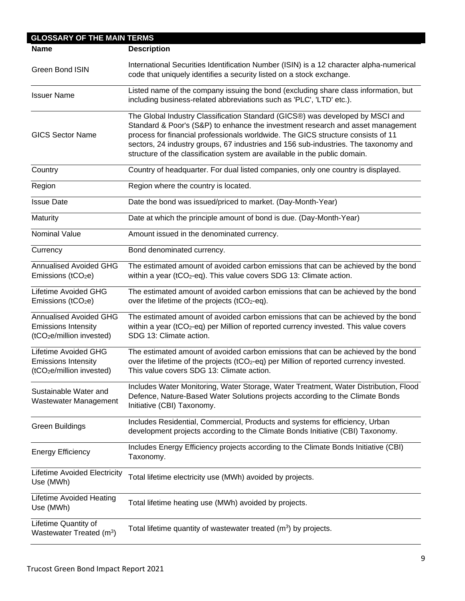| <b>GLOSSARY OF THE MAIN TERMS</b>                                                                    |                                                                                                                                                                                                                                                                                                                                                                                                                           |
|------------------------------------------------------------------------------------------------------|---------------------------------------------------------------------------------------------------------------------------------------------------------------------------------------------------------------------------------------------------------------------------------------------------------------------------------------------------------------------------------------------------------------------------|
| <b>Name</b>                                                                                          | <b>Description</b>                                                                                                                                                                                                                                                                                                                                                                                                        |
| Green Bond ISIN                                                                                      | International Securities Identification Number (ISIN) is a 12 character alpha-numerical<br>code that uniquely identifies a security listed on a stock exchange.                                                                                                                                                                                                                                                           |
| <b>Issuer Name</b>                                                                                   | Listed name of the company issuing the bond (excluding share class information, but<br>including business-related abbreviations such as 'PLC', 'LTD' etc.).                                                                                                                                                                                                                                                               |
| <b>GICS Sector Name</b>                                                                              | The Global Industry Classification Standard (GICS®) was developed by MSCI and<br>Standard & Poor's (S&P) to enhance the investment research and asset management<br>process for financial professionals worldwide. The GICS structure consists of 11<br>sectors, 24 industry groups, 67 industries and 156 sub-industries. The taxonomy and<br>structure of the classification system are available in the public domain. |
| Country                                                                                              | Country of headquarter. For dual listed companies, only one country is displayed.                                                                                                                                                                                                                                                                                                                                         |
| Region                                                                                               | Region where the country is located.                                                                                                                                                                                                                                                                                                                                                                                      |
| <b>Issue Date</b>                                                                                    | Date the bond was issued/priced to market. (Day-Month-Year)                                                                                                                                                                                                                                                                                                                                                               |
| Maturity                                                                                             | Date at which the principle amount of bond is due. (Day-Month-Year)                                                                                                                                                                                                                                                                                                                                                       |
| <b>Nominal Value</b>                                                                                 | Amount issued in the denominated currency.                                                                                                                                                                                                                                                                                                                                                                                |
| Currency                                                                                             | Bond denominated currency.                                                                                                                                                                                                                                                                                                                                                                                                |
| <b>Annualised Avoided GHG</b><br>Emissions ( $tCO2e$ )                                               | The estimated amount of avoided carbon emissions that can be achieved by the bond<br>within a year (tCO <sub>2</sub> -eq). This value covers SDG 13: Climate action.                                                                                                                                                                                                                                                      |
| <b>Lifetime Avoided GHG</b><br>Emissions (tCO <sub>2</sub> e)                                        | The estimated amount of avoided carbon emissions that can be achieved by the bond<br>over the lifetime of the projects (tCO2-eq).                                                                                                                                                                                                                                                                                         |
| <b>Annualised Avoided GHG</b><br><b>Emissions Intensity</b><br>(tCO <sub>2</sub> e/million invested) | The estimated amount of avoided carbon emissions that can be achieved by the bond<br>within a year (tCO <sub>2</sub> -eq) per Million of reported currency invested. This value covers<br>SDG 13: Climate action.                                                                                                                                                                                                         |
| <b>Lifetime Avoided GHG</b><br><b>Emissions Intensity</b><br>(tCO <sub>2</sub> e/million invested)   | The estimated amount of avoided carbon emissions that can be achieved by the bond<br>over the lifetime of the projects (tCO <sub>2</sub> -eq) per Million of reported currency invested.<br>This value covers SDG 13: Climate action.                                                                                                                                                                                     |
| Sustainable Water and<br>Wastewater Management                                                       | Includes Water Monitoring, Water Storage, Water Treatment, Water Distribution, Flood<br>Defence, Nature-Based Water Solutions projects according to the Climate Bonds<br>Initiative (CBI) Taxonomy.                                                                                                                                                                                                                       |
| <b>Green Buildings</b>                                                                               | Includes Residential, Commercial, Products and systems for efficiency, Urban<br>development projects according to the Climate Bonds Initiative (CBI) Taxonomy.                                                                                                                                                                                                                                                            |
| <b>Energy Efficiency</b>                                                                             | Includes Energy Efficiency projects according to the Climate Bonds Initiative (CBI)<br>Taxonomy.                                                                                                                                                                                                                                                                                                                          |
| <b>Lifetime Avoided Electricity</b><br>Use (MWh)                                                     | Total lifetime electricity use (MWh) avoided by projects.                                                                                                                                                                                                                                                                                                                                                                 |
| <b>Lifetime Avoided Heating</b><br>Use (MWh)                                                         | Total lifetime heating use (MWh) avoided by projects.                                                                                                                                                                                                                                                                                                                                                                     |
| Lifetime Quantity of<br>Wastewater Treated (m <sup>3</sup> )                                         | Total lifetime quantity of wastewater treated $(m^3)$ by projects.                                                                                                                                                                                                                                                                                                                                                        |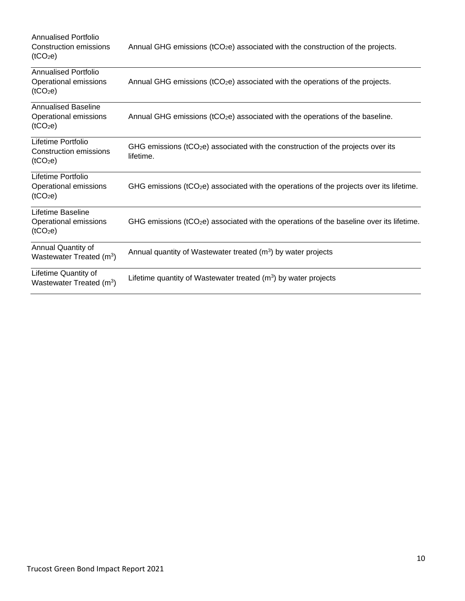| Annualised Portfolio<br>Construction emissions<br>(tCO <sub>2</sub> e)       | Annual GHG emissions ( $tCO2e$ ) associated with the construction of the projects.               |
|------------------------------------------------------------------------------|--------------------------------------------------------------------------------------------------|
| <b>Annualised Portfolio</b><br>Operational emissions<br>(tCO <sub>2</sub> e) | Annual GHG emissions (tCO <sub>2</sub> e) associated with the operations of the projects.        |
| <b>Annualised Baseline</b><br>Operational emissions<br>(tCO <sub>2</sub> e)  | Annual GHG emissions ( $tCO2e$ ) associated with the operations of the baseline.                 |
| Lifetime Portfolio<br>Construction emissions<br>(tCO <sub>2</sub> e)         | GHG emissions ( $tCO2e$ ) associated with the construction of the projects over its<br>lifetime. |
| Lifetime Portfolio<br>Operational emissions<br>(tCO <sub>2</sub> e)          | GHG emissions ( $tCO2e$ ) associated with the operations of the projects over its lifetime.      |
| Lifetime Baseline<br>Operational emissions<br>(tCO <sub>2</sub> e)           | GHG emissions ( $tCO2e$ ) associated with the operations of the baseline over its lifetime.      |
| Annual Quantity of<br>Wastewater Treated (m <sup>3</sup> )                   | Annual quantity of Wastewater treated $(m3)$ by water projects                                   |
| Lifetime Quantity of<br>Wastewater Treated (m <sup>3</sup> )                 | Lifetime quantity of Wastewater treated $(m3)$ by water projects                                 |